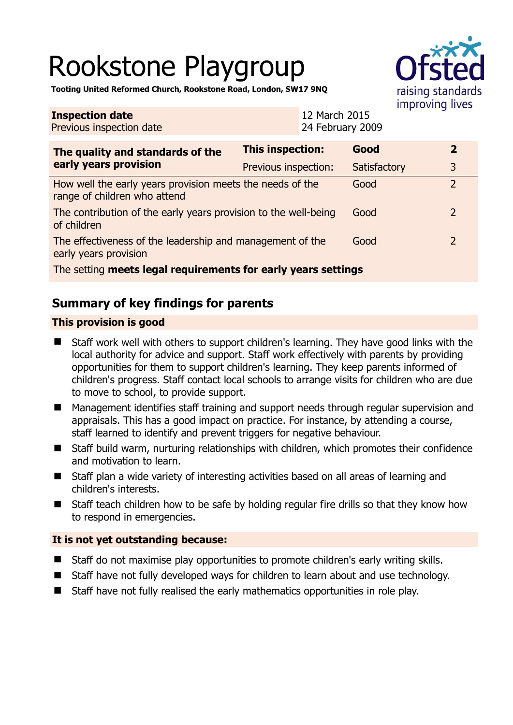# Rookstone Playgroup



**Tooting United Reformed Church, Rookstone Road, London, SW17 9NQ** 

| <b>Inspection date</b><br>Previous inspection date                                        |                         | 12 March 2015<br>24 February 2009 |              |  |                |
|-------------------------------------------------------------------------------------------|-------------------------|-----------------------------------|--------------|--|----------------|
| The quality and standards of the<br>early years provision                                 | <b>This inspection:</b> |                                   | Good         |  | $\overline{2}$ |
|                                                                                           | Previous inspection:    |                                   | Satisfactory |  | 3              |
| How well the early years provision meets the needs of the<br>range of children who attend |                         |                                   | Good         |  | $\overline{2}$ |
| The contribution of the early years provision to the well-being<br>of children            |                         |                                   | Good         |  | 2              |
| The effectiveness of the leadership and management of the<br>early years provision        |                         |                                   | Good         |  | $\overline{2}$ |
| The setting meets legal requirements for early years settings                             |                         |                                   |              |  |                |

# **Summary of key findings for parents**

## **This provision is good**

- Staff work well with others to support children's learning. They have good links with the local authority for advice and support. Staff work effectively with parents by providing opportunities for them to support children's learning. They keep parents informed of children's progress. Staff contact local schools to arrange visits for children who are due to move to school, to provide support.
- Management identifies staff training and support needs through regular supervision and appraisals. This has a good impact on practice. For instance, by attending a course, staff learned to identify and prevent triggers for negative behaviour.
- Staff build warm, nurturing relationships with children, which promotes their confidence and motivation to learn.
- Staff plan a wide variety of interesting activities based on all areas of learning and children's interests.
- Staff teach children how to be safe by holding regular fire drills so that they know how to respond in emergencies.

## **It is not yet outstanding because:**

- Staff do not maximise play opportunities to promote children's early writing skills.
- Staff have not fully developed ways for children to learn about and use technology.
- Staff have not fully realised the early mathematics opportunities in role play.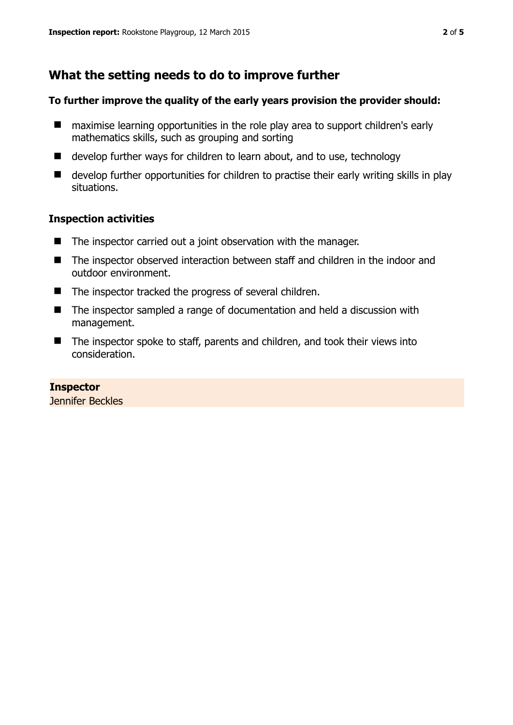# **What the setting needs to do to improve further**

#### **To further improve the quality of the early years provision the provider should:**

- maximise learning opportunities in the role play area to support children's early mathematics skills, such as grouping and sorting
- develop further ways for children to learn about, and to use, technology
- develop further opportunities for children to practise their early writing skills in play situations.

#### **Inspection activities**

- The inspector carried out a joint observation with the manager.
- The inspector observed interaction between staff and children in the indoor and outdoor environment.
- The inspector tracked the progress of several children.
- The inspector sampled a range of documentation and held a discussion with management.
- The inspector spoke to staff, parents and children, and took their views into consideration.

#### **Inspector**  Jennifer Beckles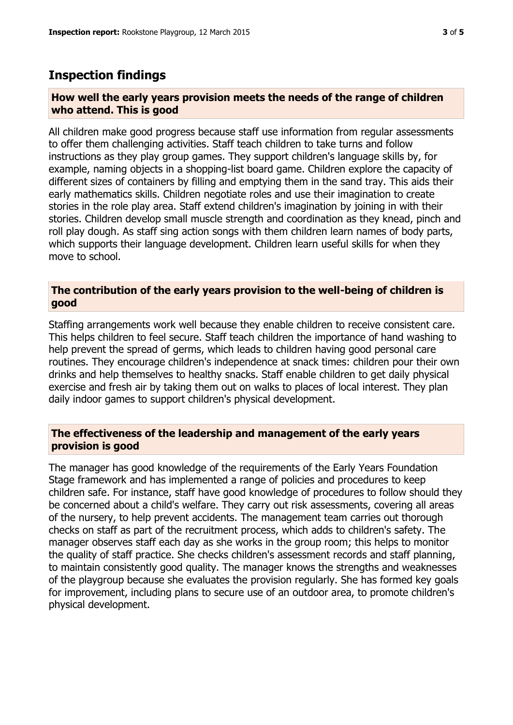## **Inspection findings**

#### **How well the early years provision meets the needs of the range of children who attend. This is good**

All children make good progress because staff use information from regular assessments to offer them challenging activities. Staff teach children to take turns and follow instructions as they play group games. They support children's language skills by, for example, naming objects in a shopping-list board game. Children explore the capacity of different sizes of containers by filling and emptying them in the sand tray. This aids their early mathematics skills. Children negotiate roles and use their imagination to create stories in the role play area. Staff extend children's imagination by joining in with their stories. Children develop small muscle strength and coordination as they knead, pinch and roll play dough. As staff sing action songs with them children learn names of body parts, which supports their language development. Children learn useful skills for when they move to school.

#### **The contribution of the early years provision to the well-being of children is good**

Staffing arrangements work well because they enable children to receive consistent care. This helps children to feel secure. Staff teach children the importance of hand washing to help prevent the spread of germs, which leads to children having good personal care routines. They encourage children's independence at snack times: children pour their own drinks and help themselves to healthy snacks. Staff enable children to get daily physical exercise and fresh air by taking them out on walks to places of local interest. They plan daily indoor games to support children's physical development.

#### **The effectiveness of the leadership and management of the early years provision is good**

The manager has good knowledge of the requirements of the Early Years Foundation Stage framework and has implemented a range of policies and procedures to keep children safe. For instance, staff have good knowledge of procedures to follow should they be concerned about a child's welfare. They carry out risk assessments, covering all areas of the nursery, to help prevent accidents. The management team carries out thorough checks on staff as part of the recruitment process, which adds to children's safety. The manager observes staff each day as she works in the group room; this helps to monitor the quality of staff practice. She checks children's assessment records and staff planning, to maintain consistently good quality. The manager knows the strengths and weaknesses of the playgroup because she evaluates the provision regularly. She has formed key goals for improvement, including plans to secure use of an outdoor area, to promote children's physical development.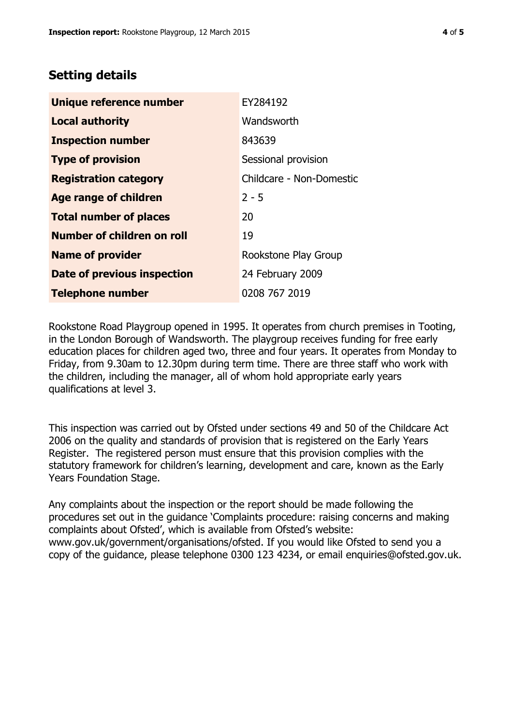# **Setting details**

| Unique reference number       | EY284192                 |  |  |
|-------------------------------|--------------------------|--|--|
| <b>Local authority</b>        | Wandsworth               |  |  |
| <b>Inspection number</b>      | 843639                   |  |  |
| <b>Type of provision</b>      | Sessional provision      |  |  |
| <b>Registration category</b>  | Childcare - Non-Domestic |  |  |
| Age range of children         | $2 - 5$                  |  |  |
| <b>Total number of places</b> | 20                       |  |  |
| Number of children on roll    | 19                       |  |  |
| <b>Name of provider</b>       | Rookstone Play Group     |  |  |
| Date of previous inspection   | 24 February 2009         |  |  |
| <b>Telephone number</b>       | 0208 767 2019            |  |  |

Rookstone Road Playgroup opened in 1995. It operates from church premises in Tooting, in the London Borough of Wandsworth. The playgroup receives funding for free early education places for children aged two, three and four years. It operates from Monday to Friday, from 9.30am to 12.30pm during term time. There are three staff who work with the children, including the manager, all of whom hold appropriate early years qualifications at level 3.

This inspection was carried out by Ofsted under sections 49 and 50 of the Childcare Act 2006 on the quality and standards of provision that is registered on the Early Years Register. The registered person must ensure that this provision complies with the statutory framework for children's learning, development and care, known as the Early Years Foundation Stage.

Any complaints about the inspection or the report should be made following the procedures set out in the guidance 'Complaints procedure: raising concerns and making complaints about Ofsted', which is available from Ofsted's website: www.gov.uk/government/organisations/ofsted. If you would like Ofsted to send you a copy of the guidance, please telephone 0300 123 4234, or email enquiries@ofsted.gov.uk.